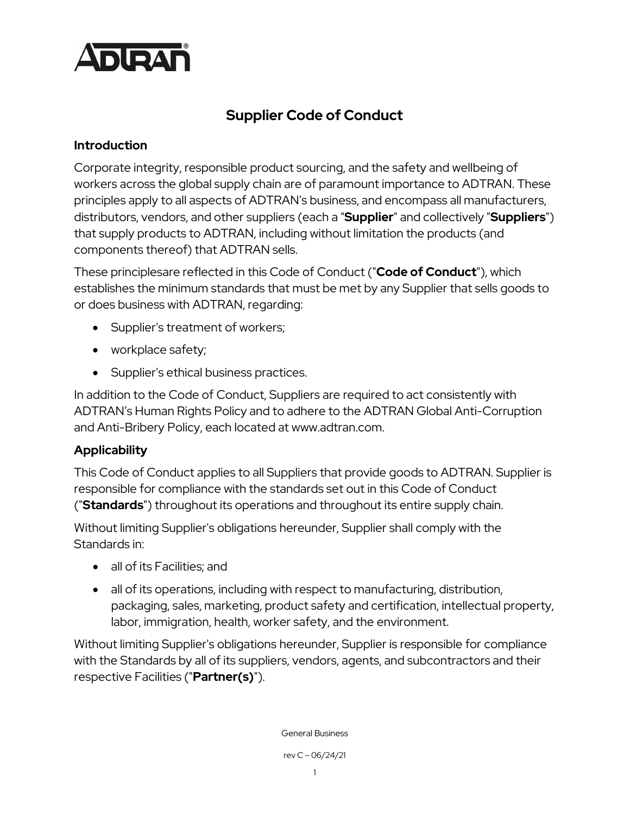

# **Supplier Code of Conduct**

#### **Introduction**

Corporate integrity, responsible product sourcing, and the safety and wellbeing of workers across the global supply chain are of paramount importance to ADTRAN. These principles apply to all aspects of ADTRAN's business, and encompass all manufacturers, distributors, vendors, and other suppliers (each a "**Supplier**" and collectively "**Suppliers**") that supply products to ADTRAN, including without limitation the products (and components thereof) that ADTRAN sells.

These principlesare reflected in this Code of Conduct ("**Code of Conduct**"), which establishes the minimum standards that must be met by any Supplier that sells goods to or does business with ADTRAN, regarding:

- Supplier's treatment of workers;
- workplace safety;
- Supplier's ethical business practices.

In addition to the Code of Conduct, Suppliers are required to act consistently with ADTRAN's Human Rights Policy and to adhere to the ADTRAN Global Anti-Corruption and Anti-Bribery Policy, each located at [www.adtran.com.](http://www.adtran.com/)

#### **Applicability**

This Code of Conduct applies to all Suppliers that provide goods to ADTRAN. Supplier is responsible for compliance with the standards set out in this Code of Conduct ("**Standards**") throughout its operations and throughout its entire supply chain.

Without limiting Supplier's obligations hereunder, Supplier shall comply with the Standards in:

- all of its Facilities; and
- all of its operations, including with respect to manufacturing, distribution, packaging, sales, marketing, product safety and certification, intellectual property, labor, immigration, health, worker safety, and the environment.

Without limiting Supplier's obligations hereunder, Supplier is responsible for compliance with the Standards by all of its suppliers, vendors, agents, and subcontractors and their respective Facilities ("**Partner(s)**").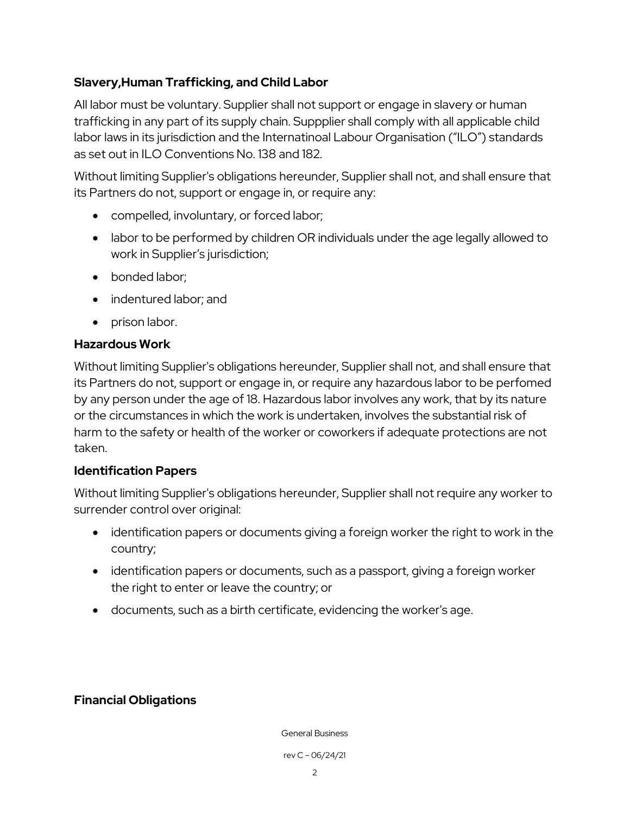### **Slavery,Human Trafficking, and Child Labor**

All labor must be voluntary. Supplier shall not support or engage in slavery or human trafficking in any part of its supply chain. Suppplier shall comply with all applicable child labor laws in its jurisdiction and the Internatinoal Labour Organisation ("ILO") standards as set out in ILO Conventions No. 138 and 182.

Without limiting Supplier's obligations hereunder, Supplier shall not, and shall ensure that its Partners do not, support or engage in, or require any:

- compelled, involuntary, or forced labor;
- labor to be performed by children OR individuals under the age legally allowed to work in Supplier's jurisdiction;
- bonded labor;
- indentured labor; and
- prison labor.

### **Hazardous Work**

Without limiting Supplier's obligations hereunder, Supplier shall not, and shall ensure that its Partners do not, support or engage in, or require any hazardous labor to be perfomed by any person under the age of 18. Hazardous labor involves any work, that by its nature or the circumstances in which the work is undertaken, involves the substantial risk of harm to the safety or health of the worker or coworkers if adequate protections are not taken.

### **Identification Papers**

Without limiting Supplier's obligations hereunder, Supplier shall not require any worker to surrender control over original:

- identification papers or documents giving a foreign worker the right to work in the country;
- identification papers or documents, such as a passport, giving a foreign worker the right to enter or leave the country; or
- documents, such as a birth certificate, evidencing the worker's age.

### **Financial Obligations**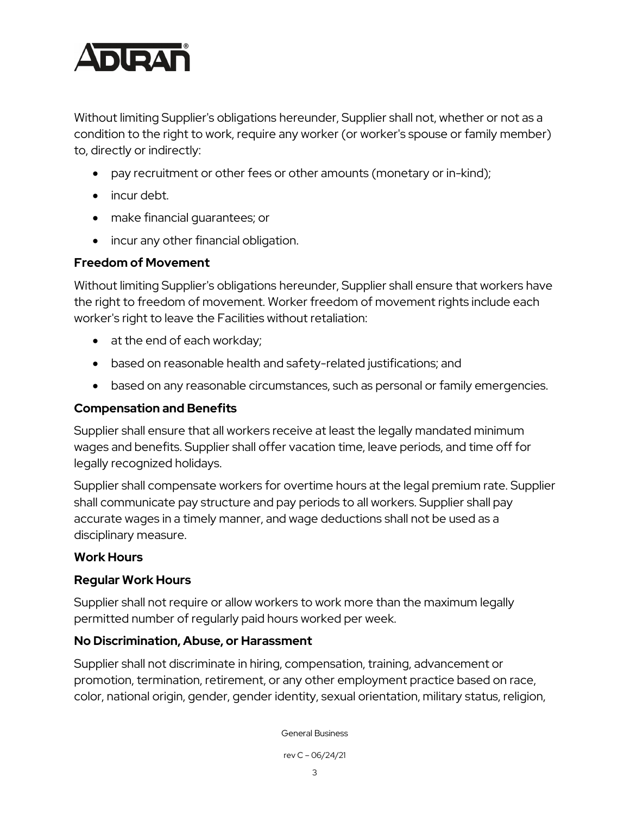

Without limiting Supplier's obligations hereunder, Supplier shall not, whether or not as a condition to the right to work, require any worker (or worker's spouse or family member) to, directly or indirectly:

- pay recruitment or other fees or other amounts (monetary or in-kind);
- incur debt.
- make financial guarantees; or
- incur any other financial obligation.

### **Freedom of Movement**

Without limiting Supplier's obligations hereunder, Supplier shall ensure that workers have the right to freedom of movement. Worker freedom of movement rights include each worker's right to leave the Facilities without retaliation:

- at the end of each workday;
- based on reasonable health and safety-related justifications; and
- based on any reasonable circumstances, such as personal or family emergencies.

#### **Compensation and Benefits**

Supplier shall ensure that all workers receive at least the legally mandated minimum wages and benefits. Supplier shall offer vacation time, leave periods, and time off for legally recognized holidays.

Supplier shall compensate workers for overtime hours at the legal premium rate. Supplier shall communicate pay structure and pay periods to all workers. Supplier shall pay accurate wages in a timely manner, and wage deductions shall not be used as a disciplinary measure.

#### **Work Hours**

#### **Regular Work Hours**

Supplier shall not require or allow workers to work more than the maximum legally permitted number of regularly paid hours worked per week.

#### **No Discrimination, Abuse, or Harassment**

Supplier shall not discriminate in hiring, compensation, training, advancement or promotion, termination, retirement, or any other employment practice based on race, color, national origin, gender, gender identity, sexual orientation, military status, religion,

General Business

rev C – 06/24/21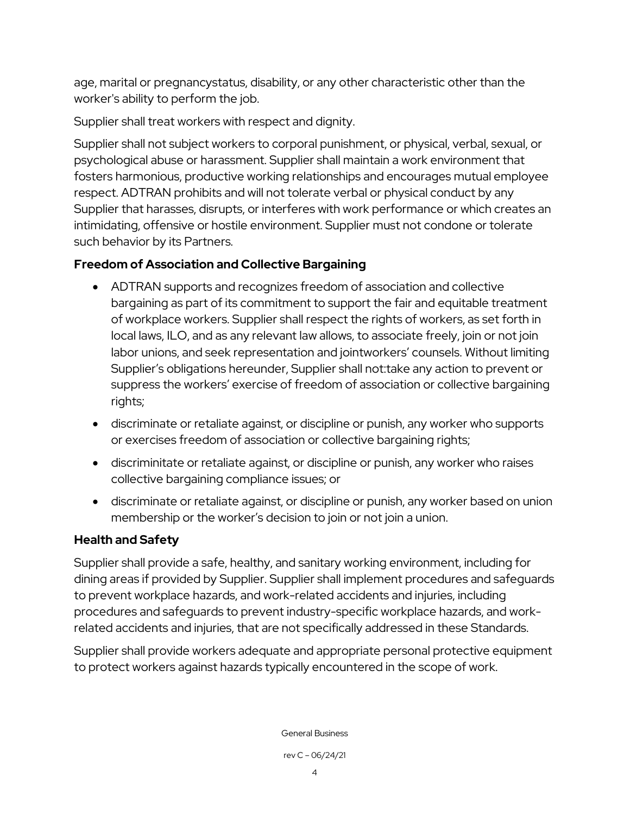age, marital or pregnancystatus, disability, or any other characteristic other than the worker's ability to perform the job.

Supplier shall treat workers with respect and dignity.

Supplier shall not subject workers to corporal punishment, or physical, verbal, sexual, or psychological abuse or harassment. Supplier shall maintain a work environment that fosters harmonious, productive working relationships and encourages mutual employee respect. ADTRAN prohibits and will not tolerate verbal or physical conduct by any Supplier that harasses, disrupts, or interferes with work performance or which creates an intimidating, offensive or hostile environment. Supplier must not condone or tolerate such behavior by its Partners.

### **Freedom of Association and Collective Bargaining**

- ADTRAN supports and recognizes freedom of association and collective bargaining as part of its commitment to support the fair and equitable treatment of workplace workers. Supplier shall respect the rights of workers, as set forth in local laws, ILO, and as any relevant law allows, to associate freely, join or not join labor unions, and seek representation and jointworkers' counsels. Without limiting Supplier's obligations hereunder, Supplier shall not:take any action to prevent or suppress the workers' exercise of freedom of association or collective bargaining rights;
- discriminate or retaliate against, or discipline or punish, any worker who supports or exercises freedom of association or collective bargaining rights;
- discriminitate or retaliate against, or discipline or punish, any worker who raises collective bargaining compliance issues; or
- discriminate or retaliate against, or discipline or punish, any worker based on union membership or the worker's decision to join or not join a union.

### **Health and Safety**

Supplier shall provide a safe, healthy, and sanitary working environment, including for dining areas if provided by Supplier. Supplier shall implement procedures and safeguards to prevent workplace hazards, and work-related accidents and injuries, including procedures and safeguards to prevent industry-specific workplace hazards, and workrelated accidents and injuries, that are not specifically addressed in these Standards.

Supplier shall provide workers adequate and appropriate personal protective equipment to protect workers against hazards typically encountered in the scope of work.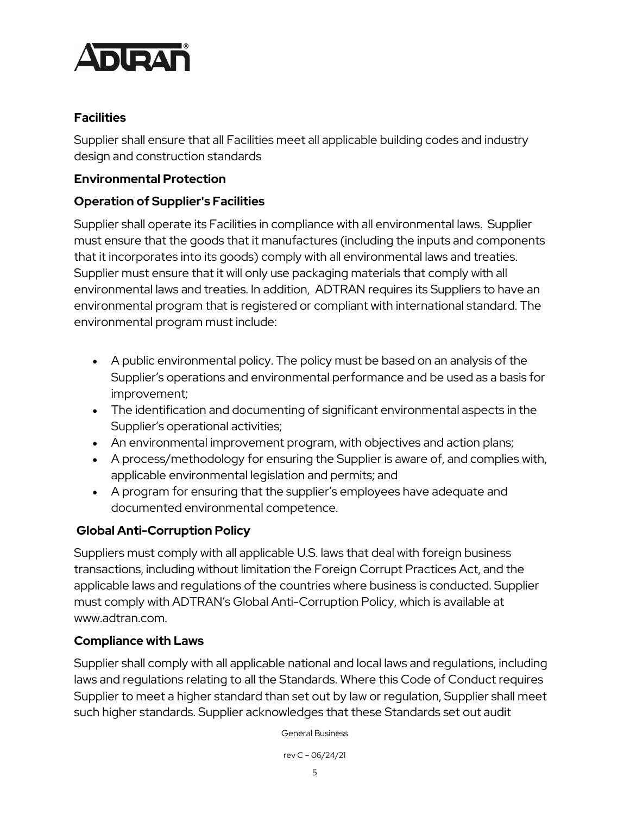

#### **Facilities**

Supplier shall ensure that all Facilities meet all applicable building codes and industry design and construction standards

#### **Environmental Protection**

### **Operation of Supplier's Facilities**

Supplier shall operate its Facilities in compliance with all environmental laws. Supplier must ensure that the goods that it manufactures (including the inputs and components that it incorporates into its goods) comply with all environmental laws and treaties. Supplier must ensure that it will only use packaging materials that comply with all environmental laws and treaties. In addition, ADTRAN requires its Suppliers to have an environmental program that is registered or compliant with international standard. The environmental program must include:

- A public environmental policy. The policy must be based on an analysis of the Supplier's operations and environmental performance and be used as a basis for improvement;
- The identification and documenting of significant environmental aspects in the Supplier's operational activities;
- An environmental improvement program, with objectives and action plans;
- A process/methodology for ensuring the Supplier is aware of, and complies with, applicable environmental legislation and permits; and
- A program for ensuring that the supplier's employees have adequate and documented environmental competence.

### **Global Anti-Corruption Policy**

Suppliers must comply with all applicable U.S. laws that deal with foreign business transactions, including without limitation the Foreign Corrupt Practices Act, and the applicable laws and regulations of the countries where business is conducted. Supplier must comply with ADTRAN's Global Anti-Corruption Policy, which is available at www.adtran.com.

#### **Compliance with Laws**

Supplier shall comply with all applicable national and local laws and regulations, including laws and regulations relating to all the Standards. Where this Code of Conduct requires Supplier to meet a higher standard than set out by law or regulation, Supplier shall meet such higher standards. Supplier acknowledges that these Standards set out audit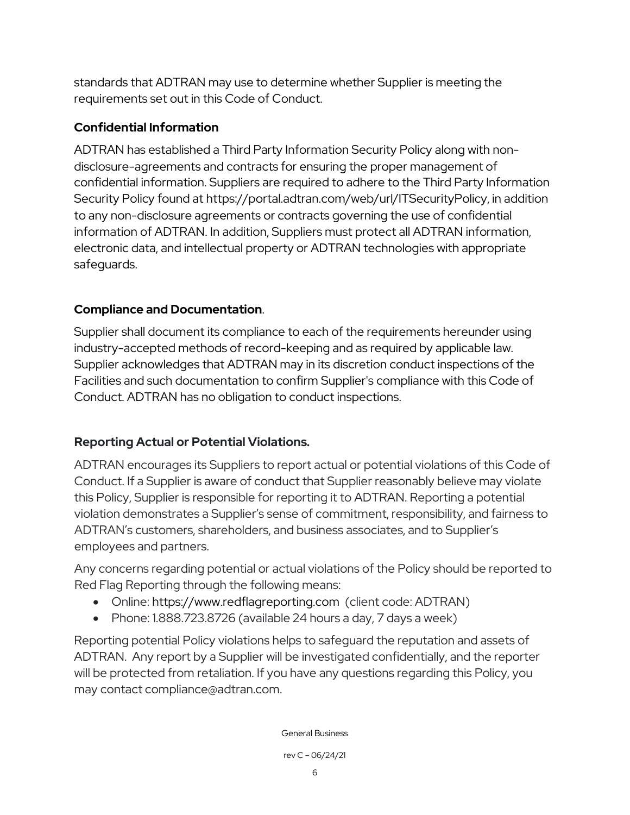standards that ADTRAN may use to determine whether Supplier is meeting the requirements set out in this Code of Conduct.

## **Confidential Information**

ADTRAN has established a Third Party Information Security Policy along with nondisclosure-agreements and contracts for ensuring the proper management of confidential information. Suppliers are required to adhere to the Third Party Information Security Policy found at [https://portal.adtran.com/web/url/ITSecurityPolicy,](https://portal.adtran.com/web/url/ITSecurityPolicy) in addition to any non-disclosure agreements or contracts governing the use of confidential information of ADTRAN. In addition, Suppliers must protect all ADTRAN information, electronic data, and intellectual property or ADTRAN technologies with appropriate safeguards.

### **Compliance and Documentation**.

Supplier shall document its compliance to each of the requirements hereunder using industry-accepted methods of record-keeping and as required by applicable law. Supplier acknowledges that ADTRAN may in its discretion conduct inspections of the Facilities and such documentation to confirm Supplier's compliance with this Code of Conduct. ADTRAN has no obligation to conduct inspections.

# **Reporting Actual or Potential Violations.**

ADTRAN encourages its Suppliers to report actual or potential violations of this Code of Conduct. If a Supplier is aware of conduct that Supplier reasonably believe may violate this Policy, Supplier is responsible for reporting it to ADTRAN. Reporting a potential violation demonstrates a Supplier's sense of commitment, responsibility, and fairness to ADTRAN's customers, shareholders, and business associates, and to Supplier's employees and partners.

Any concerns regarding potential or actual violations of the Policy should be reported to Red Flag Reporting through the following means:

- Online: [https://www.redflagreporting.com](https://www.redflagreporting.com/) (client code: ADTRAN)
- Phone: 1.888.723.8726 (available 24 hours a day, 7 days a week)

Reporting potential Policy violations helps to safeguard the reputation and assets of ADTRAN. Any report by a Supplier will be investigated confidentially, and the reporter will be protected from retaliation. If you have any questions regarding this Policy, you may contact compliance@adtran.com.